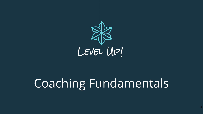

# Coaching Fundamentals

1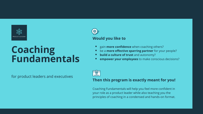

## **Coaching Fundamentals**

for product leaders and executives



- gain **more confidence** when coaching others?
- be a **more effective sparring partner** for your people?
- **build a culture of trust** and autonomy?
- **empower your employees** to make conscious decisions?



### **Then this program is exactly meant for you!**

Coaching Fundamentals will help you feel more confident in your role as a product leader while also teaching you the principles of coaching in a condensed and hands-on format.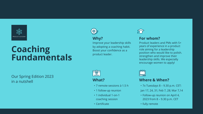

### **Coaching Fundamentals**

Our Spring Edition 2023 in a nutshell



### **Why?**

Improve your leadership skills by adopting a coaching habit. Boost your confidence as a product leader.



#### **What?**

- 7 remote sessions à 1.5 h
- 1 follow-up reunion
- 1 individual 1-on-1 coaching session
- Certificate



### **For whom?**

Product leaders and PMs with 5+ years of experience in a product role aiming for a leadership position who would like to polish. strengthen and improve their leadership skills. We especially encourage women to apply!

#### **Where & When?**

- 7x Tuesdays 8 9.30 p.m. CET:
- Jan 17, 24, 31; Feb 7, 28; Mar 7,14
- Follow-up reunion on April 4, 2023 from 8 – 9.30 p.m. CET
- fully remote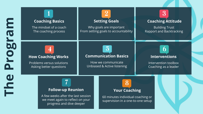| E<br>618                   | <b>Coaching Basics</b><br>The mindset of a coach<br>The coaching process                                                       | <b>Setting Goals</b><br>Why goals are important<br>From setting goals to accountability                     | <b>Coaching Attitude</b><br><b>Building Trust</b><br><b>Rapport and Backtracking</b> |  |
|----------------------------|--------------------------------------------------------------------------------------------------------------------------------|-------------------------------------------------------------------------------------------------------------|--------------------------------------------------------------------------------------|--|
| 91<br>$\bullet$            | <b>How Coaching Works</b><br>Problems versus solutions<br>Asking better questions                                              | $\overline{\mathbf{5}}$<br><b>Communication Basics</b><br>How we communicate<br>Unbiased & Active listening | <b>Interventions</b><br>Intervention toolbox<br>Coaching as a leader                 |  |
| <u>e</u><br>$\blacksquare$ | <b>Follow-up Reunion</b><br>A few weeks after the last session<br>we meet again to reflect on your<br>progress and dive deeper | <b>Your Coaching</b><br>60 minutes individual coaching or<br>supervision in a one-to-one setup              |                                                                                      |  |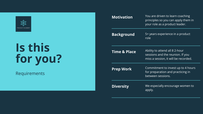

# **Is this for you ?**

Requirements

| <b>Motivation</b>       | You are driven to learn coaching<br>principles so you can apply them in<br>your role as a product leader.  |
|-------------------------|------------------------------------------------------------------------------------------------------------|
| <b>Background</b>       | 5+ years experience in a product<br>role                                                                   |
| <b>Time &amp; Place</b> | Ability to attend all 8 2-hour<br>sessions and the reunion. If you<br>miss a session, it will be recorded. |
| <b>Prep Work</b>        | Commitment to invest up to 4 hours<br>for preparation and practicing in<br>between sessions.               |
| <b>Diversity</b>        | We especially encourage women to<br>apply.                                                                 |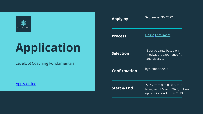

# **Application**

LevelUp! Coaching Fundamentals

[Apply online](https://forms.gle/Wux1G69rwJhLAqfh7)

| Apply by               | September 30, 2022                                                                                |  |
|------------------------|---------------------------------------------------------------------------------------------------|--|
| <b>Process</b>         | <u> Online Enrollment</u>                                                                         |  |
| <b>Selection</b>       | 8 participants based on<br>motivation, experience fit<br>and diversity                            |  |
| <b>Confirmation</b>    | by October 2022                                                                                   |  |
| <b>Start &amp; End</b> | 7x 2h from 8 to 8.30 p.m. CET<br>from Jan till March 2023, follow-<br>up reunion on April 4, 2023 |  |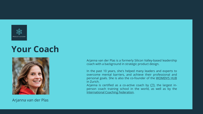

### **Your Coach**



Arjanna van der Plas

Arjanna van der Plas is a formerly Silicon Valley-based leadership coach with a background in strategic product design.

In the past 10 years, she's helped many leaders and experts to overcome mental barriers, and achieve their professional and personal goals. She is also the co-founder of the [WOMEN'S](https://www.womenshub.de/en) HUB in Zurich.

Arjanna is certified as a co-active coach by [CTI](https://coactive.com/), the largest inperson coach training school in the world, as well as by the [International](https://coachingfederation.org/) Coaching Federation.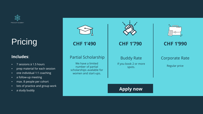

## **Pricing**

### **Includes**:

- 7 sessions à 1.5 hours
- prep material for each session
- one individual 1:1 coaching
- a follow-up meeting
- max. 8 people per cohort
- lots of practice and group work
- a study buddy





### Corporate Rate

Regular price